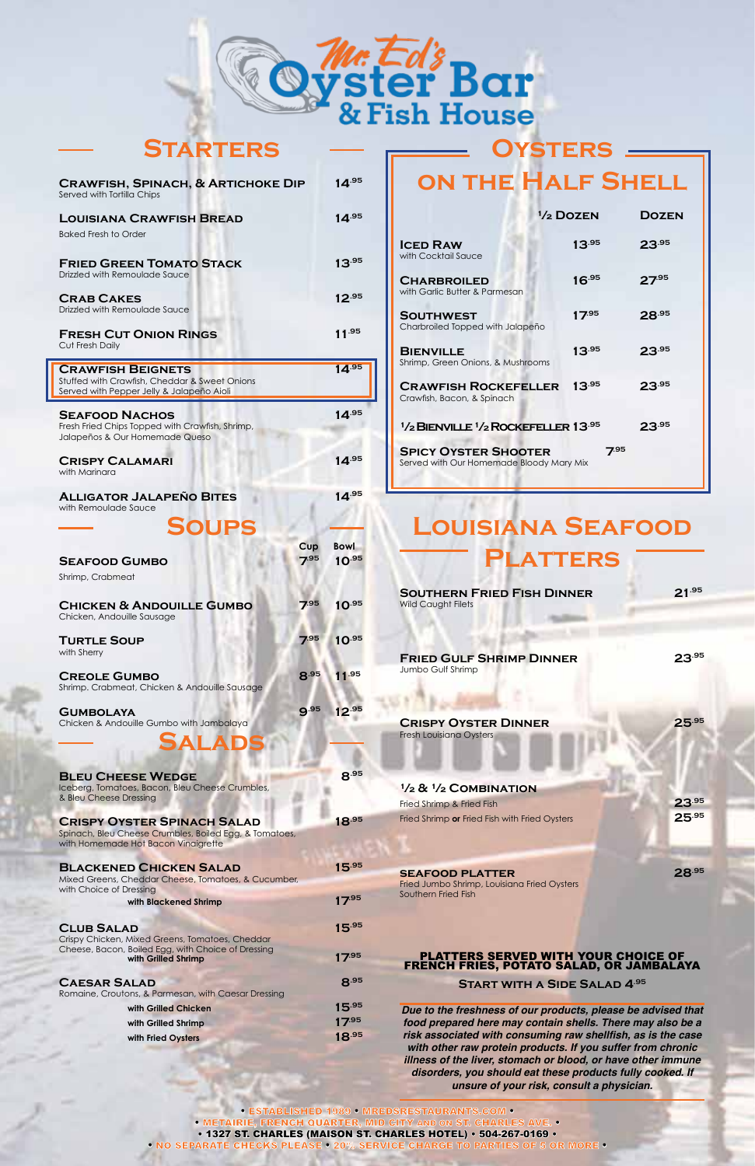• ESTABLISHED 1989 • MREDSRESTAURANTS.COM • • METAIRIE, FRENCH QUARTER, MID CITY AND ON ST. CHARLES AVE. • • 1327 ST. CHARLES (MAISON ST. CHARLES HOTEL) • 504-267-0169 • • NO SEPARATE CHECKS PLEASE • 20% SERVICE CHARGE TO PARTIES OF 5 OR MORE •

**½ & ½ Combination** Fried Shrimp & Fried Fish<br>
Fried Shrimp **or** Fried Fish with Fried Ovsters<br> **25.<sup>95</sup>25.** Fried Shrimp or Fried Fish with Fried Oysters

| <b>BLACKENED CHICKEN SALAD</b> | 15.95 |
|--------------------------------|-------|
|--------------------------------|-------|

# **Louisiana Seafood Platters**

| <b>SOUTHERN FRIED FISH DINNER</b><br><b>Wild Caught Filets</b> | $21^{.95}$ |
|----------------------------------------------------------------|------------|
| <b>FRIED GULF SHRIMP DINNER</b><br>Jumbo Gulf Shrimp           | 23.95      |
| <b>CRISPY OYSTER DINNER</b><br><b>Fresh Louisiana Oysters</b>  | .95        |

Fried Jumbo Shrimp, Louisiana Fried Oysters Southern Fried Fish

#### PLATTERS SERVED WITH YOUR CHOICE OF FRENCH FRIES, POTATO SALAD, OR JAMBALAYA

**Start with a Side Salad 4.95**

*Due to the freshness of our products, please be advised that food prepared here may contain shells. There may also be a* **risk associated with consuming raw shellfish, as is the case** *with other raw protein products. If you suffer from chronic illness of the liver, stomach or blood, or have other immune disorders, you should eat these products fully cooked. If unsure of your risk, consult a physician.*

Crispy Chicken, Mixed Greens, Tomatoes, Cheddar Cheese, Bacon, Boiled Egg, with Choice of Dressing  **With Grilled Shrimp 17.95** 

## **CAESAR SALAD 8.95**

# **Oysters on the Half Shell**

|                                                                                                | $\frac{1}{2}$ Dozen | DOZEN      |
|------------------------------------------------------------------------------------------------|---------------------|------------|
| <b>ICED RAW</b><br>with Cocktail Sauce                                                         | $13^{.95}$          | $23^{.95}$ |
| <b>CHARBROILED</b><br>with Garlic Butter & Parmesan                                            | $16^{.95}$          | $27^{.95}$ |
| <b>SOUTHWEST</b><br>Charbroiled Topped with Jalapeño                                           | $17^{.95}$          | 28.95      |
| <b>BIENVILLE</b><br>Shrimp, Green Onions, & Mushrooms                                          | 13.95               | 23.95      |
| <b>CRAWFISH ROCKEFELLER</b><br>Crawfish, Bacon, & Spinach                                      | $13^{.95}$          | $23^{.95}$ |
| <sup>1</sup> / <sub>2</sub> BIENVILLE <sup>1</sup> / <sub>2</sub> ROCKEFELLER <sup>13.95</sup> |                     | 23.95      |
| <b>SPICY OYSTER SHOOTER</b><br>Served with Our Homemade Bloody Mary Mix                        | 7.95                |            |

Spinach, Bleu Cheese Crumbles, Boiled Egg, & Tomatoes, with Homemade Hot Bacon Vinaigrette

Mixed Greens, Cheddar Cheese, Tomatoes, & Cucumber, with Choice of Dressing

**with Blackened Shrimp 17.95** 

#### **CLUB SALAD 15.95**

Romaine, Croutons, & Parmesan, with Caesar Dressing

| with Grilled Chicken | 15.95      |
|----------------------|------------|
| with Grilled Shrimp  | 17.95      |
| with Fried Oysters   | $18^{.95}$ |

### **SEAFOOD PLATTER** 28.95

| <b>CRAWFISH, SPINACH, &amp; ARTICHOKE DIP</b><br>Served with Tortilla Chips                                            |             | $14^{.95}$                  |
|------------------------------------------------------------------------------------------------------------------------|-------------|-----------------------------|
| <b>LOUISIANA CRAWFISH BREAD</b>                                                                                        |             | $14^{.95}$                  |
| <b>Baked Fresh to Order</b>                                                                                            |             |                             |
| <b>FRIED GREEN TOMATO STACK</b><br>Drizzled with Remoulade Sauce                                                       |             | $13^{.95}$                  |
| <b>CRAB CAKES</b><br><b>Drizzled with Remoulade Sauce</b>                                                              |             | $12^{.95}$                  |
| <b>FRESH CUT ONION RINGS</b><br>Cut Fresh Daily                                                                        |             | 11.95                       |
| <b>CRAWFISH BEIGNETS</b><br>Stuffed with Crawfish, Cheddar & Sweet Onions<br>Served with Pepper Jelly & Jalapeño Aioli |             | 14.95                       |
| <b>SEAFOOD NACHOS</b>                                                                                                  |             | $14^{.95}$                  |
| Fresh Fried Chips Topped with Crawfish, Shrimp,<br>Jalapeños & Our Homemade Queso                                      |             |                             |
| <b>CRISPY CALAMARI</b><br>with Marinara                                                                                |             | $14^{.95}$                  |
| <b>ALLIGATOR JALAPEÑO BITES</b><br>with Remoulade Sauce                                                                |             | $14^{.95}$                  |
| <b>SOUPS</b>                                                                                                           |             |                             |
| <b>SEAFOOD GUMBO</b>                                                                                                   | Cup<br>7.95 | <b>Bowl</b><br>$10^{.95}$   |
| Shrimp, Crabmeat                                                                                                       |             |                             |
| <b>CHICKEN &amp; ANDOUILLE GUMBO</b><br>Chicken, Andouille Sausage                                                     |             | $7^{.95}$ 10 <sup>.95</sup> |
| <b>TURTLE SOUP</b><br>with Sherry                                                                                      | 7.95        | 10.95                       |
| <b>CREOLE GUMBO</b><br>Shrimp. Crabmeat, Chicken & Andouille Sausage                                                   | 8.95        | 11.95                       |
| <b>GUMBOLAYA</b><br>Chicken & Andouille Gumbo with Jambalaya                                                           | 9.95        | 12.95                       |
| AT A                                                                                                                   |             |                             |
| <b>BLEU CHEESE WEDGE</b>                                                                                               |             | 8.95                        |
| Iceberg, Tomatoes, Bacon, Bleu Cheese Crumbles,<br>& Bleu Cheese Dressing                                              |             |                             |
| <b>CRISPY OYSTER SPINACH SALAD</b>                                                                                     |             | 18.95                       |



| <b>STARTERS</b> |
|-----------------|
|-----------------|